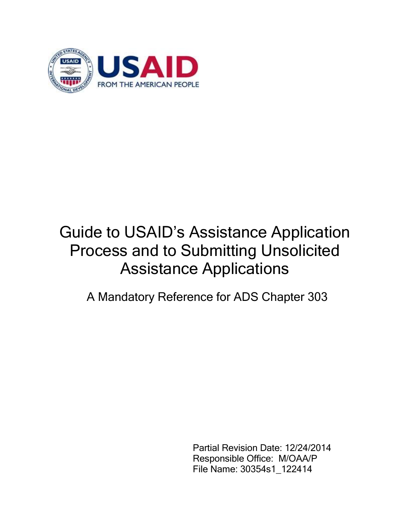

# Guide to USAID's Assistance Application Process and to Submitting Unsolicited Assistance Applications

A Mandatory Reference for ADS Chapter 303

Partial Revision Date: 12/24/2014 Responsible Office: M/OAA/P File Name: 30354s1\_122414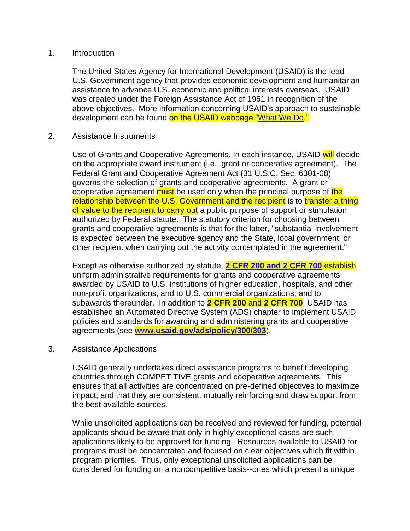### 1. Introduction

The United States Agency for International Development (USAID) is the lead U.S. Government agency that provides economic development and humanitarian assistance to advance U.S. economic and political interests overseas. USAID was created under the Foreign Assistance Act of 1961 in recognition of the above objectives. More information concerning USAID's approach to sustainable development can be found on the USAID webpage ["What We Do.](http://www.usaid.gov/what-we-do)"

#### 2. Assistance Instruments

Use of Grants and Cooperative Agreements. In each instance, USAID will decide on the appropriate award instrument (i.e., grant or cooperative agreement). The Federal Grant and Cooperative Agreement Act (31 U.S.C. Sec. 6301-08) governs the selection of grants and cooperative agreements. A grant or cooperative agreement must be used only when the principal purpose of the relationship between the U.S. Government and the recipient is to transfer a thing of value to the recipient to carry out a public purpose of support or stimulation authorized by Federal statute. The statutory criterion for choosing between grants and cooperative agreements is that for the latter, "substantial involvement is expected between the executive agency and the State, local government, or other recipient when carrying out the activity contemplated in the agreement."

Except as otherwise authorized by statute, **[2 CFR 200 and 2 CFR 700](http://www.ecfr.gov/cgi-bin/text-idx?sid=86473197e53b098a734196dafed39e1f&tpl=/ecfrbrowse/Title02/2tab_02.tpl)** establish uniform administrative requirements for grants and cooperative agreements awarded by USAID to U.S. institutions of higher education, hospitals, and other non-profit organizations, and to U.S. commercial organizations; and to subawards thereunder. In addition to **2 CFR 200** and **2 CFR 700**, USAID has established an Automated Directive System (ADS) chapter to implement USAID policies and standards for awarding and administering grants and cooperative agreements (see **[www.usaid.gov/ads/policy/300/303](http://www.usaid.gov/ads/policy/300/303)**).

#### 3. Assistance Applications

USAID generally undertakes direct assistance programs to benefit developing countries through COMPETITIVE grants and cooperative agreements. This ensures that all activities are concentrated on pre-defined objectives to maximize impact; and that they are consistent, mutually reinforcing and draw support from the best available sources.

While unsolicited applications can be received and reviewed for funding, potential applicants should be aware that only in highly exceptional cases are such applications likely to be approved for funding. Resources available to USAID for programs must be concentrated and focused on clear objectives which fit within program priorities. Thus, only exceptional unsolicited applications can be considered for funding on a noncompetitive basis--ones which present a unique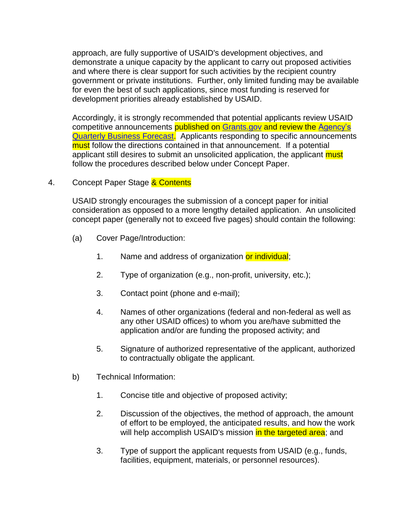approach, are fully supportive of USAID's development objectives, and demonstrate a unique capacity by the applicant to carry out proposed activities and where there is clear support for such activities by the recipient country government or private institutions. Further, only limited funding may be available for even the best of such applications, since most funding is reserved for development priorities already established by USAID.

Accordingly, it is strongly recommended that potential applicants review USAID competitive announcements published on [Grants.gov](http://www.grants.gov/) and review the Agency's [Quarterly Business Forecast.](http://www.usaid.gov/work-usaid/get-grant-or-contract/business-forecast) Applicants responding to specific announcements must follow the directions contained in that announcement. If a potential applicant still desires to submit an unsolicited application, the applicant must follow the procedures described below under Concept Paper.

# 4. Concept Paper Stage & Contents

USAID strongly encourages the submission of a concept paper for initial consideration as opposed to a more lengthy detailed application. An unsolicited concept paper (generally not to exceed five pages) should contain the following:

- (a) Cover Page/Introduction:
	- 1. Name and address of organization or individual;
	- 2. Type of organization (e.g., non-profit, university, etc.);
	- 3. Contact point (phone and e-mail);
	- 4. Names of other organizations (federal and non-federal as well as any other USAID offices) to whom you are/have submitted the application and/or are funding the proposed activity; and
	- 5. Signature of authorized representative of the applicant, authorized to contractually obligate the applicant.
- b) Technical Information:
	- 1. Concise title and objective of proposed activity;
	- 2. Discussion of the objectives, the method of approach, the amount of effort to be employed, the anticipated results, and how the work will help accomplish USAID's mission in the targeted area; and
	- 3. Type of support the applicant requests from USAID (e.g., funds, facilities, equipment, materials, or personnel resources).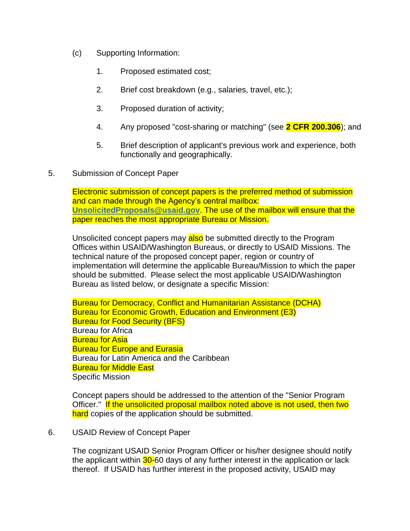- (c) Supporting Information:
	- 1. Proposed estimated cost;
	- 2. Brief cost breakdown (e.g., salaries, travel, etc.);
	- 3. Proposed duration of activity;
	- 4. Any proposed "cost-sharing or matching" (see **2 CFR 200.306**); and
	- 5. Brief description of applicant's previous work and experience, both functionally and geographically.
- 5. Submission of Concept Paper

Electronic submission of concept papers is the preferred method of submission and can made through the Agency's central mailbox: **[UnsolicitedProposals@usaid.gov](mailto:UnsolicitedProposals@usaid.gov)**. The use of the mailbox will ensure that the paper reaches the most appropriate Bureau or Mission.

Unsolicited concept papers may also be submitted directly to the Program Offices within USAID/Washington Bureaus, or directly to USAID Missions. The technical nature of the proposed concept paper, region or country of implementation will determine the applicable Bureau/Mission to which the paper should be submitted. Please select the most applicable USAID/Washington Bureau as listed below, or designate a specific Mission:

Bureau for Democracy, Conflict and Humanitarian Assistance (DCHA) Bureau for Economic Growth, Education and Environment (E3) Bureau for Food Security (BFS) Bureau for Africa Bureau for Asia Bureau for Europe and Eurasia Bureau for Latin America and the Caribbean Bureau for Middle East Specific Mission

Concept papers should be addressed to the attention of the "Senior Program Officer." If the unsolicited proposal mailbox noted above is not used, then two hard copies of the application should be submitted.

# 6. USAID Review of Concept Paper

The cognizant USAID Senior Program Officer or his/her designee should notify the applicant within 30-60 days of any further interest in the application or lack thereof. If USAID has further interest in the proposed activity, USAID may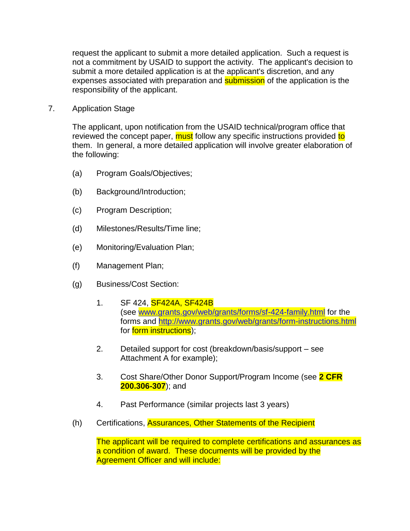request the applicant to submit a more detailed application. Such a request is not a commitment by USAID to support the activity. The applicant's decision to submit a more detailed application is at the applicant's discretion, and any expenses associated with preparation and **submission** of the application is the responsibility of the applicant.

7. Application Stage

The applicant, upon notification from the USAID technical/program office that reviewed the concept paper, must follow any specific instructions provided to them. In general, a more detailed application will involve greater elaboration of the following:

- (a) Program Goals/Objectives;
- (b) Background/Introduction;
- (c) Program Description;
- (d) Milestones/Results/Time line;
- (e) Monitoring/Evaluation Plan;
- (f) Management Plan;
- (g) Business/Cost Section:
	- 1. SF 424, SF424A, SF424B (see [www.grants.gov/web/grants/forms/sf-424-family.html](http://www.grants.gov/web/grants/forms/sf-424-family.html) for the forms and<http://www.grants.gov/web/grants/form-instructions.html> for **form instructions**);
	- 2. Detailed support for cost (breakdown/basis/support see Attachment A for example);
	- 3. Cost Share/Other Donor Support/Program Income (see **2 CFR 200.306-307**); and
	- 4. Past Performance (similar projects last 3 years)
- (h) Certifications, Assurances, Other Statements of the Recipient

The applicant will be required to complete certifications and assurances as a condition of award. These documents will be provided by the Agreement Officer and will include: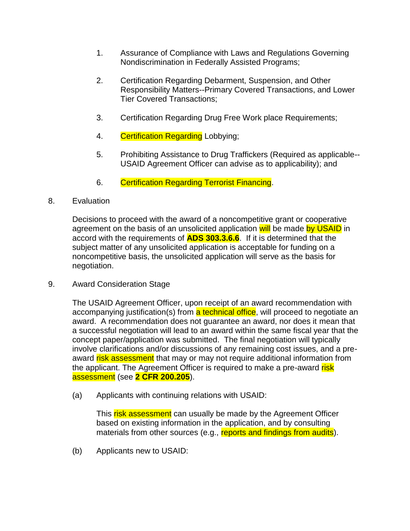- 1. Assurance of Compliance with Laws and Regulations Governing Nondiscrimination in Federally Assisted Programs;
- 2. Certification Regarding Debarment, Suspension, and Other Responsibility Matters--Primary Covered Transactions, and Lower Tier Covered Transactions;
- 3. Certification Regarding Drug Free Work place Requirements;
- 4. Certification Regarding Lobbying;
- 5. Prohibiting Assistance to Drug Traffickers (Required as applicable-- USAID Agreement Officer can advise as to applicability); and
- 6. Certification Regarding Terrorist Financing.
- 8. Evaluation

Decisions to proceed with the award of a noncompetitive grant or cooperative agreement on the basis of an unsolicited application will be made by USAID in accord with the requirements of **ADS 303.3.6.6**. If it is determined that the subject matter of any unsolicited application is acceptable for funding on a noncompetitive basis, the unsolicited application will serve as the basis for negotiation.

9. Award Consideration Stage

The USAID Agreement Officer, upon receipt of an award recommendation with accompanying justification(s) from a technical office, will proceed to negotiate an award. A recommendation does not guarantee an award, nor does it mean that a successful negotiation will lead to an award within the same fiscal year that the concept paper/application was submitted. The final negotiation will typically involve clarifications and/or discussions of any remaining cost issues, and a preaward risk assessment that may or may not require additional information from the applicant. The Agreement Officer is required to make a pre-award risk assessment (see **2 CFR 200.205**).

(a) Applicants with continuing relations with USAID:

This risk assessment can usually be made by the Agreement Officer based on existing information in the application, and by consulting materials from other sources (e.g., reports and findings from audits).

(b) Applicants new to USAID: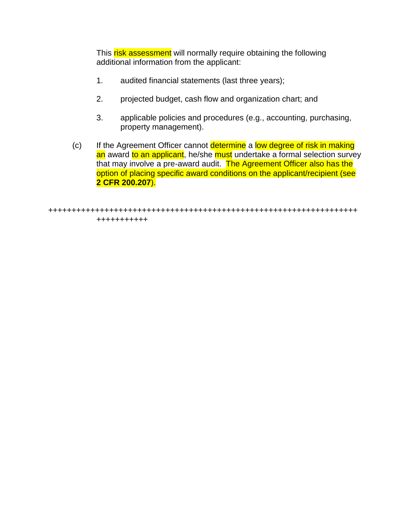This risk assessment will normally require obtaining the following additional information from the applicant:

- 1. audited financial statements (last three years);
- 2. projected budget, cash flow and organization chart; and
- 3. applicable policies and procedures (e.g., accounting, purchasing, property management).
- (c) If the Agreement Officer cannot determine a low degree of risk in making an award to an applicant, he/she must undertake a formal selection survey that may involve a pre-award audit. The Agreement Officer also has the option of placing specific award conditions on the applicant/recipient (see **2 CFR 200.207**).

```
++++++++++++++++++++++++++++++++++++++++++++++++++++++++++++++++++
+++++++++++
```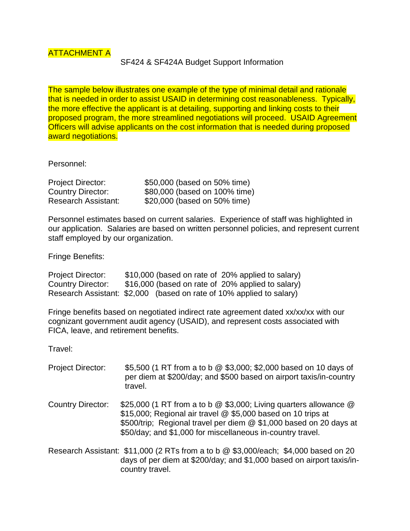SF424 & SF424A Budget Support Information

The sample below illustrates one example of the type of minimal detail and rationale that is needed in order to assist USAID in determining cost reasonableness. Typically, the more effective the applicant is at detailing, supporting and linking costs to their proposed program, the more streamlined negotiations will proceed. USAID Agreement Officers will advise applicants on the cost information that is needed during proposed award negotiations.

Personnel:

| <b>Project Director:</b> | \$50,000 (based on 50% time)  |
|--------------------------|-------------------------------|
| <b>Country Director:</b> | \$80,000 (based on 100% time) |
| Research Assistant:      | \$20,000 (based on 50% time)  |

country travel.

Personnel estimates based on current salaries. Experience of staff was highlighted in our application. Salaries are based on written personnel policies, and represent current staff employed by our organization.

Fringe Benefits:

| <b>Project Director:</b>                                             | \$10,000 (based on rate of 20% applied to salary) |  |  |  |  |
|----------------------------------------------------------------------|---------------------------------------------------|--|--|--|--|
| <b>Country Director:</b>                                             | \$16,000 (based on rate of 20% applied to salary) |  |  |  |  |
| Research Assistant: \$2,000 (based on rate of 10% applied to salary) |                                                   |  |  |  |  |

Fringe benefits based on negotiated indirect rate agreement dated xx/xx/xx with our cognizant government audit agency (USAID), and represent costs associated with FICA, leave, and retirement benefits.

Travel:

| <b>Project Director:</b> | \$5,500 (1 RT from a to b @ \$3,000; \$2,000 based on 10 days of<br>per diem at \$200/day; and \$500 based on airport taxis/in-country<br>travel.                                                                                                                     |
|--------------------------|-----------------------------------------------------------------------------------------------------------------------------------------------------------------------------------------------------------------------------------------------------------------------|
| <b>Country Director:</b> | \$25,000 (1 RT from a to b @ \$3,000; Living quarters allowance @<br>\$15,000; Regional air travel @ \$5,000 based on 10 trips at<br>\$500/trip; Regional travel per diem @ \$1,000 based on 20 days at<br>\$50/day; and \$1,000 for miscellaneous in-country travel. |
|                          | Research Assistant: \$11,000 (2 RTs from a to b @ \$3,000/each; \$4,000 based on 20<br>days of per diem at \$200/day; and \$1,000 based on airport taxis/in-                                                                                                          |